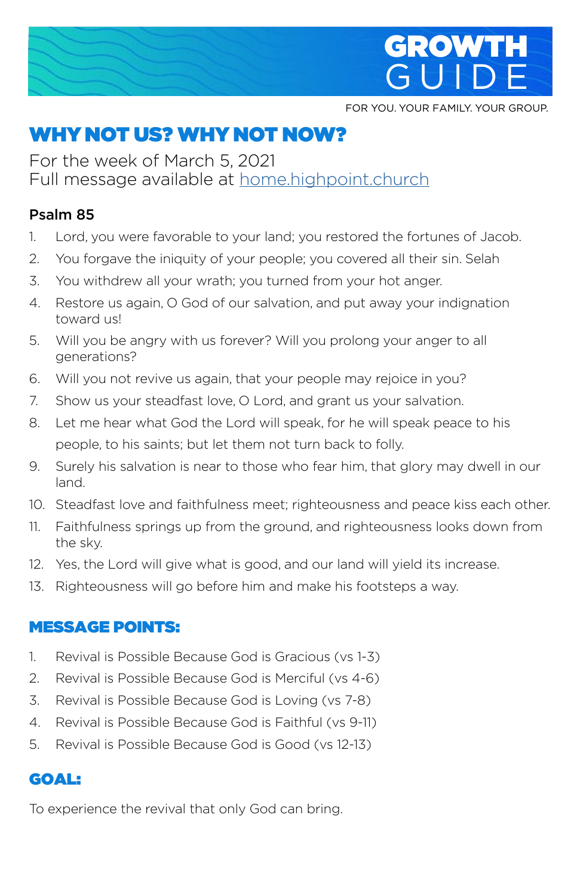

FOR YOU. YOUR FAMILY. YOUR GROUP.

# WHY NOT US? WHY NOT NOW?

For the week of March 5, 2021 Full message available at home.highpoint.church

#### Psalm 85

- 1. Lord, you were favorable to your land; you restored the fortunes of Jacob.
- 2. You forgave the iniquity of your people; you covered all their sin. Selah
- 3. You withdrew all your wrath; you turned from your hot anger.
- 4. Restore us again, O God of our salvation, and put away your indignation toward us!
- 5. Will you be angry with us forever? Will you prolong your anger to all generations?
- 6. Will you not revive us again, that your people may rejoice in you?
- 7. Show us your steadfast love, O Lord, and grant us your salvation.
- 8. Let me hear what God the Lord will speak, for he will speak peace to his people, to his saints; but let them not turn back to folly.
- 9. Surely his salvation is near to those who fear him, that glory may dwell in our land.
- 10. Steadfast love and faithfulness meet; righteousness and peace kiss each other.
- 11. Faithfulness springs up from the ground, and righteousness looks down from the sky.
- 12. Yes, the Lord will give what is good, and our land will yield its increase.
- 13. Righteousness will go before him and make his footsteps a way.

#### MESSAGE POINTS:

- 1. Revival is Possible Because God is Gracious (vs 1-3)
- 2. Revival is Possible Because God is Merciful (vs 4-6)
- 3. Revival is Possible Because God is Loving (vs 7-8)
- 4. Revival is Possible Because God is Faithful (vs 9-11)
- 5. Revival is Possible Because God is Good (vs 12-13)

### GOAL:

To experience the revival that only God can bring.